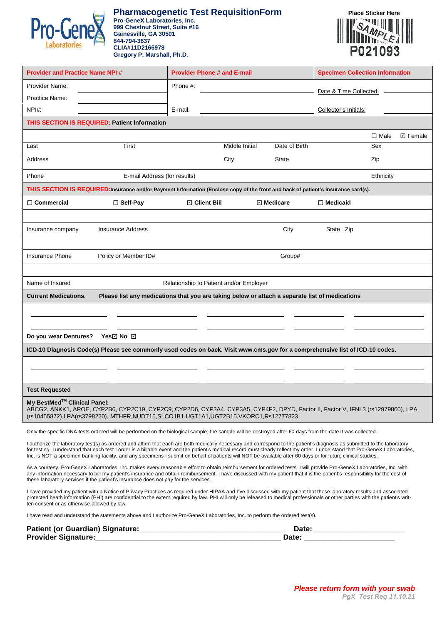

## **Pharmacogenetic Test RequisitionForm Place Sticker Here**

**Pro-GeneX Laboratories, Inc. 999 Chestnut Street, Suite #16 Gainesville, GA 30501 844-794-3637 CLIA#11D2166978 Gregory P. Marshall, Ph.D.** 



| <b>Provider and Practice Name NPI#</b>                                                                                                                                                                                                                                                                                                                                                                                                                                                                                      |                                                                                                                                                            | <b>Provider Phone # and E-mail</b>      |                |               | <b>Specimen Collection Information</b> |             |                         |  |
|-----------------------------------------------------------------------------------------------------------------------------------------------------------------------------------------------------------------------------------------------------------------------------------------------------------------------------------------------------------------------------------------------------------------------------------------------------------------------------------------------------------------------------|------------------------------------------------------------------------------------------------------------------------------------------------------------|-----------------------------------------|----------------|---------------|----------------------------------------|-------------|-------------------------|--|
| Provider Name:                                                                                                                                                                                                                                                                                                                                                                                                                                                                                                              |                                                                                                                                                            | Phone #:                                |                |               | Date & Time Collected:                 |             |                         |  |
| Practice Name:                                                                                                                                                                                                                                                                                                                                                                                                                                                                                                              |                                                                                                                                                            |                                         |                |               |                                        |             |                         |  |
| NPH:                                                                                                                                                                                                                                                                                                                                                                                                                                                                                                                        |                                                                                                                                                            | E-mail:                                 |                |               | Collector's Initials:                  |             |                         |  |
|                                                                                                                                                                                                                                                                                                                                                                                                                                                                                                                             | THIS SECTION IS REQUIRED: Patient Information                                                                                                              |                                         |                |               |                                        |             |                         |  |
|                                                                                                                                                                                                                                                                                                                                                                                                                                                                                                                             |                                                                                                                                                            |                                         |                |               |                                        | $\Box$ Male | $\triangleright$ Female |  |
| Last                                                                                                                                                                                                                                                                                                                                                                                                                                                                                                                        | First                                                                                                                                                      |                                         | Middle Initial | Date of Birth |                                        | Sex         |                         |  |
| Address                                                                                                                                                                                                                                                                                                                                                                                                                                                                                                                     |                                                                                                                                                            |                                         | City           | <b>State</b>  |                                        | Zip         |                         |  |
| Phone                                                                                                                                                                                                                                                                                                                                                                                                                                                                                                                       | E-mail Address (for results)<br>Ethnicity                                                                                                                  |                                         |                |               |                                        |             |                         |  |
| THIS SECTION IS REQUIRED:Insurance and/or Payment Information (Enclose copy of the front and back of patient's insurance card(s).                                                                                                                                                                                                                                                                                                                                                                                           |                                                                                                                                                            |                                         |                |               |                                        |             |                         |  |
| $\Box$ Commercial                                                                                                                                                                                                                                                                                                                                                                                                                                                                                                           | $\Box$ Self-Pay                                                                                                                                            | <b>☑ Client Bill</b>                    |                | ⊡ Medicare    | $\Box$ Medicaid                        |             |                         |  |
|                                                                                                                                                                                                                                                                                                                                                                                                                                                                                                                             |                                                                                                                                                            |                                         |                |               |                                        |             |                         |  |
| Insurance company                                                                                                                                                                                                                                                                                                                                                                                                                                                                                                           | <b>Insurance Address</b>                                                                                                                                   |                                         |                | City          | State Zip                              |             |                         |  |
|                                                                                                                                                                                                                                                                                                                                                                                                                                                                                                                             |                                                                                                                                                            |                                         |                |               |                                        |             |                         |  |
| <b>Insurance Phone</b>                                                                                                                                                                                                                                                                                                                                                                                                                                                                                                      | Policy or Member ID#                                                                                                                                       |                                         |                | Group#        |                                        |             |                         |  |
|                                                                                                                                                                                                                                                                                                                                                                                                                                                                                                                             |                                                                                                                                                            |                                         |                |               |                                        |             |                         |  |
| Name of Insured                                                                                                                                                                                                                                                                                                                                                                                                                                                                                                             |                                                                                                                                                            | Relationship to Patient and/or Employer |                |               |                                        |             |                         |  |
| <b>Current Medications.</b>                                                                                                                                                                                                                                                                                                                                                                                                                                                                                                 | Please list any medications that you are taking below or attach a separate list of medications                                                             |                                         |                |               |                                        |             |                         |  |
|                                                                                                                                                                                                                                                                                                                                                                                                                                                                                                                             |                                                                                                                                                            |                                         |                |               |                                        |             |                         |  |
|                                                                                                                                                                                                                                                                                                                                                                                                                                                                                                                             |                                                                                                                                                            |                                         |                |               |                                        |             |                         |  |
| Do you wear Dentures? Yes☑ No ☑                                                                                                                                                                                                                                                                                                                                                                                                                                                                                             |                                                                                                                                                            |                                         |                |               |                                        |             |                         |  |
|                                                                                                                                                                                                                                                                                                                                                                                                                                                                                                                             | ICD-10 Diagnosis Code(s) Please see commonly used codes on back. Visit www.cms.gov for a comprehensive list of ICD-10 codes.                               |                                         |                |               |                                        |             |                         |  |
|                                                                                                                                                                                                                                                                                                                                                                                                                                                                                                                             |                                                                                                                                                            |                                         |                |               |                                        |             |                         |  |
|                                                                                                                                                                                                                                                                                                                                                                                                                                                                                                                             |                                                                                                                                                            |                                         |                |               |                                        |             |                         |  |
| <b>Test Requested</b>                                                                                                                                                                                                                                                                                                                                                                                                                                                                                                       |                                                                                                                                                            |                                         |                |               |                                        |             |                         |  |
| My BestMed <sup>™</sup> Clinical Panel:<br>ABCG2, ANKK1, APOE, CYP2B6, CYP2C19, CYP2C9, CYP2D6, CYP3A4, CYP3A5, CYP4F2, DPYD, Factor II, Factor V, IFNL3 (rs12979860), LPA<br>(rs10455872),LPA(rs3798220), MTHFR,NUDT15,SLCO1B1,UGT1A1,UGT2B15,VKORC1,Rs12777823                                                                                                                                                                                                                                                            |                                                                                                                                                            |                                         |                |               |                                        |             |                         |  |
|                                                                                                                                                                                                                                                                                                                                                                                                                                                                                                                             | Only the specific DNA tests ordered will be performed on the biological sample; the sample will be destroyed after 60 days from the date it was collected. |                                         |                |               |                                        |             |                         |  |
| I authorize the laboratory test(s) as ordered and affirm that each are both medically necessary and correspond to the patient's diagnosis as submitted to the laboratory<br>for testing. I understand that each test I order is a billable event and the patient's medical record must clearly reflect my order. I understand that Pro-GeneX Laboratories,<br>Inc. is NOT a specimen banking facility, and any specimens I submit on behalf of patients will NOT be available after 60 days or for future clinical studies. |                                                                                                                                                            |                                         |                |               |                                        |             |                         |  |
| As a courtesy, Pro-GeneX Laboratories, Inc. makes every reasonable effort to obtain reimbursement for ordered tests. I will provide Pro-GeneX Laboratories, Inc. with<br>any information necessary to bill my patient's insurance and obtain remibursement. I have discussed with my patient that it is the patient's responsibility for the cost of<br>these laboratory services if the patient's insurance does not pay for the services.                                                                                 |                                                                                                                                                            |                                         |                |               |                                        |             |                         |  |

I have provided my patient with a Notice of Privacy Practices as required under HIPAA and I"ve discussed with my patient that these laboratory results and associated protected heath information (PHI) are confidential to the extent required by law. PHI will only be released to medical professionals or other parties with the patient's written consent or as otherwise allowed by law.

I have read and understand the statements above and I authorize Pro-GeneX Laboratories, Inc. to perform the ordered test(s).

| <b>Patient (or Guardian) Signature:</b><br>. |  |
|----------------------------------------------|--|
| <b>Provider Signature:</b>                   |  |